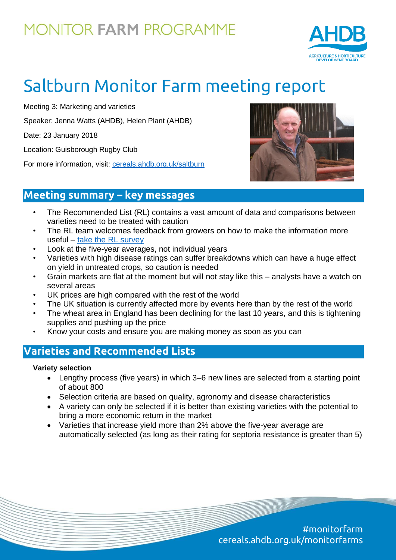

# Saltburn Monitor Farm meeting report

Meeting 3: Marketing and varieties

Speaker: Jenna Watts (AHDB), Helen Plant (AHDB)

Date: 23 January 2018

Location: Guisborough Rugby Club

For more information, visit: [cereals.ahdb.org.uk/saltburn](https://cereals.ahdb.org.uk/get-involved/monitorfarms/saltburn-monitor-farm.aspx)



### **Meeting summary – key messages**

- The Recommended List (RL) contains a vast amount of data and comparisons between varieties need to be treated with caution
- The RL team welcomes feedback from growers on how to make the information more useful – [take the RL survey](https://www.surveymonkey.co.uk/r/6NQW2CM)
- Look at the five-year averages, not individual years
- Varieties with high disease ratings can suffer breakdowns which can have a huge effect on yield in untreated crops, so caution is needed
- Grain markets are flat at the moment but will not stay like this analysts have a watch on several areas
- UK prices are high compared with the rest of the world
- The UK situation is currently affected more by events here than by the rest of the world
- The wheat area in England has been declining for the last 10 years, and this is tightening supplies and pushing up the price
- Know your costs and ensure you are making money as soon as you can

### **Varieties and Recommended Lists**

#### **Variety selection**

- Lengthy process (five years) in which 3–6 new lines are selected from a starting point of about 800
- Selection criteria are based on quality, agronomy and disease characteristics
- A variety can only be selected if it is better than existing varieties with the potential to bring a more economic return in the market
- Varieties that increase yield more than 2% above the five-year average are automatically selected (as long as their rating for septoria resistance is greater than 5)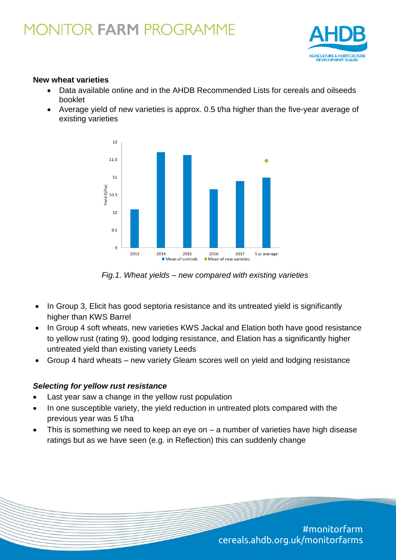

#### **New wheat varieties**

- Data available online and in the AHDB Recommended Lists for cereals and oilseeds booklet
- Average yield of new varieties is approx. 0.5 t/ha higher than the five-year average of existing varieties



*Fig.1. Wheat yields – new compared with existing varieties*

- In Group 3, Elicit has good septoria resistance and its untreated yield is significantly higher than KWS Barrel
- In Group 4 soft wheats, new varieties KWS Jackal and Elation both have good resistance to yellow rust (rating 9), good lodging resistance, and Elation has a significantly higher untreated yield than existing variety Leeds
- Group 4 hard wheats new variety Gleam scores well on yield and lodging resistance

#### *Selecting for yellow rust resistance*

- Last year saw a change in the yellow rust population
- In one susceptible variety, the yield reduction in untreated plots compared with the previous year was 5 t/ha
- This is something we need to keep an eye on a number of varieties have high disease ratings but as we have seen (e.g. in Reflection) this can suddenly change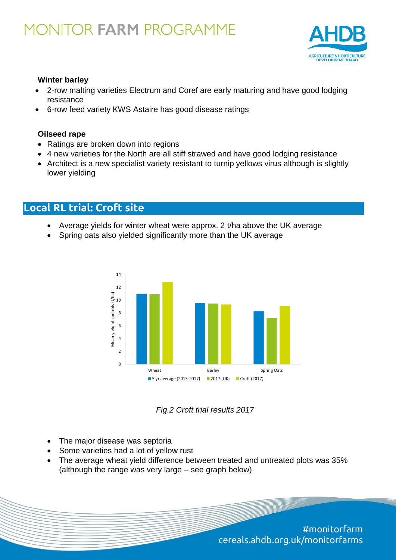

#### **Winter barley**

- 2-row malting varieties Electrum and Coref are early maturing and have good lodging resistance
- 6-row feed variety KWS Astaire has good disease ratings

#### **Oilseed rape**

- Ratings are broken down into regions
- 4 new varieties for the North are all stiff strawed and have good lodging resistance
- Architect is a new specialist variety resistant to turnip yellows virus although is slightly lower yielding

### **Local RL trial: Croft site**

- Average yields for winter wheat were approx. 2 t/ha above the UK average
- Spring oats also yielded significantly more than the UK average



*Fig.2 Croft trial results 2017*

- The major disease was septoria
- Some varieties had a lot of yellow rust
- The average wheat yield difference between treated and untreated plots was 35% (although the range was very large – see graph below)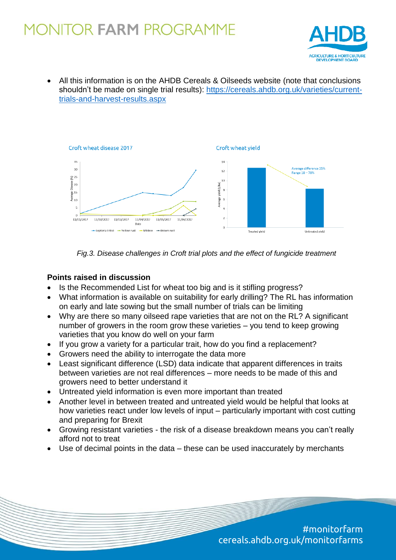

 All this information is on the AHDB Cereals & Oilseeds website (note that conclusions shouldn't be made on single trial results): [https://cereals.ahdb.org.uk/varieties/current](https://cereals.ahdb.org.uk/varieties/current-trials-and-harvest-results.aspx)[trials-and-harvest-results.aspx](https://cereals.ahdb.org.uk/varieties/current-trials-and-harvest-results.aspx)



*Fig.3. Disease challenges in Croft trial plots and the effect of fungicide treatment*

#### **Points raised in discussion**

- Is the Recommended List for wheat too big and is it stifling progress?
- What information is available on suitability for early drilling? The RL has information on early and late sowing but the small number of trials can be limiting
- Why are there so many oilseed rape varieties that are not on the RL? A significant number of growers in the room grow these varieties – you tend to keep growing varieties that you know do well on your farm
- If you grow a variety for a particular trait, how do you find a replacement?
- Growers need the ability to interrogate the data more
- Least significant difference (LSD) data indicate that apparent differences in traits between varieties are not real differences – more needs to be made of this and growers need to better understand it
- Untreated yield information is even more important than treated
- Another level in between treated and untreated yield would be helpful that looks at how varieties react under low levels of input – particularly important with cost cutting and preparing for Brexit
- Growing resistant varieties the risk of a disease breakdown means you can't really afford not to treat
- Use of decimal points in the data these can be used inaccurately by merchants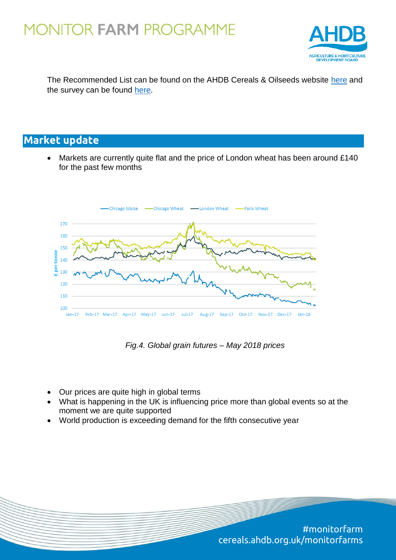

The Recommended List can be found on the AHDB Cereals & Oilseeds website [here](https://cereals.ahdb.org.uk/varieties/ahdb-recommended-lists.aspx) and the survey can be found [here.](https://www.surveymonkey.co.uk/r/6NQW2CM)

### **Market update**

 Markets are currently quite flat and the price of London wheat has been around £140 for the past few months



*Fig.4. Global grain futures – May 2018 prices*

- Our prices are quite high in global terms
- What is happening in the UK is influencing price more than global events so at the moment we are quite supported
- World production is exceeding demand for the fifth consecutive year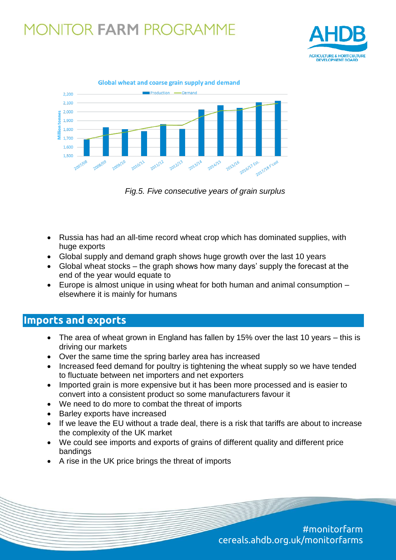



*Fig.5. Five consecutive years of grain surplus*

- Russia has had an all-time record wheat crop which has dominated supplies, with huge exports
- Global supply and demand graph shows huge growth over the last 10 years
- Global wheat stocks the graph shows how many days' supply the forecast at the end of the year would equate to
- Europe is almost unique in using wheat for both human and animal consumption elsewhere it is mainly for humans

### **Imports and exports**

- The area of wheat grown in England has fallen by 15% over the last 10 years this is driving our markets
- Over the same time the spring barley area has increased
- Increased feed demand for poultry is tightening the wheat supply so we have tended to fluctuate between net importers and net exporters
- Imported grain is more expensive but it has been more processed and is easier to convert into a consistent product so some manufacturers favour it
- We need to do more to combat the threat of imports
- Barley exports have increased
- If we leave the EU without a trade deal, there is a risk that tariffs are about to increase the complexity of the UK market
- We could see imports and exports of grains of different quality and different price bandings
- A rise in the UK price brings the threat of imports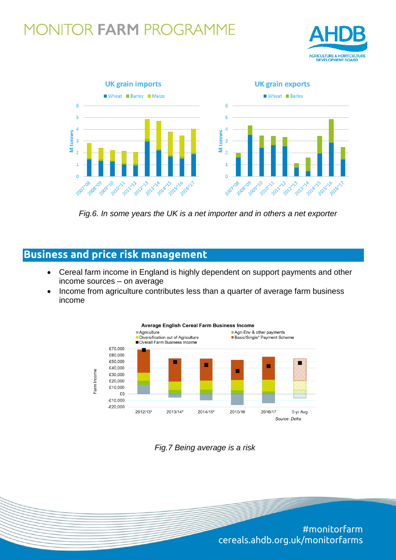



*Fig.6. In some years the UK is a net importer and in others a net exporter*

### **Business and price risk management**

- Cereal farm income in England is highly dependent on support payments and other income sources – on average
- Income from agriculture contributes less than a quarter of average farm business income



*Fig.7 Being average is a risk*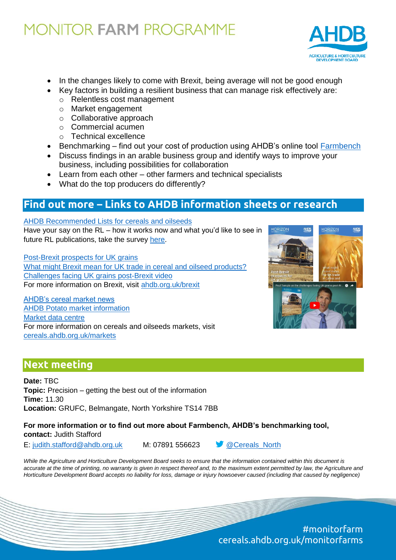

- In the changes likely to come with Brexit, being average will not be good enough
- Key factors in building a resilient business that can manage risk effectively are:
	- o Relentless cost management
	- o Market engagement
	- o Collaborative approach
	- o Commercial acumen
	- o Technical excellence
- Benchmarking find out your cost of production using AHDB's online tool [Farmbench](https://farmbench.ahdb.org.uk/)
- Discuss findings in an arable business group and identify ways to improve your business, including possibilities for collaboration
- Learn from each other other farmers and technical specialists
- What do the top producers do differently?

### **Find out more – Links to AHDB information sheets or research**

#### [AHDB Recommended Lists for cereals and oilseeds](https://cereals.ahdb.org.uk/media/1359383/recl1819-recommended-lists-2018-2019-booklet-.pdf)

Have your say on the RL – how it works now and what you'd like to see in future RL publications, take the survey [here.](https://www.surveymonkey.co.uk/r/6NQW2CM)

[Post-Brexit prospects for UK grains](https://ahdb.org.uk/documents/Horizon_Brexit_Analysis_june2017.PDF) [What might Brexit mean for UK trade in cereal and oilseed products?](https://ahdb.org.uk/brexit/documents/CO_bitesize.pdf) [Challenges facing UK grains post-Brexit video](https://www.youtube.com/watch?v=XVDARCSGKaI) For more information on Brexit, visit [ahdb.org.uk/brexit](https://ahdb.org.uk/brexit/)

AHDE

**HORIZON** 

AHDE

**HORIZON** 

[AHDB's cereal market news](https://cereals.ahdb.org.uk/markets/market-news.aspx) [AHDB Potato market information](https://potatoes.ahdb.org.uk/market-intelligence) [Market data centre](https://cereals-data.ahdb.org.uk/) For more information on cereals and oilseeds markets, visit [cereals.ahdb.org.uk/markets](https://cereals.ahdb.org.uk/markets.aspx)

### **Next meeting**

**Date:** TBC **Topic:** Precision – getting the best out of the information **Time:** 11.30 **Location:** GRUFC, Belmangate, North Yorkshire TS14 7BB

**For more information or to find out more about Farmbench, AHDB's benchmarking tool, contact:** Judith Stafford

E: [judith.stafford@ahdb.org.uk](mailto:judith.stafford@ahdb.org.uk) M: 07891 556623 [@Cereals\\_North](https://twitter.com/cereals_north?lang=en)



*While the Agriculture and Horticulture Development Board seeks to ensure that the information contained within this document is accurate at the time of printing, no warranty is given in respect thereof and, to the maximum extent permitted by law, the Agriculture and Horticulture Development Board accepts no liability for loss, damage or injury howsoever caused (including that caused by negligence)*